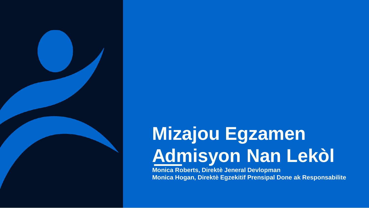

# **Mizajou Egzamen Admisyon Nan Lekòl**

**Monica Roberts, Direktè Jeneral Devlopman Monica Hogan, Direktè Egzekitif Prensipal Done ak Responsabilite**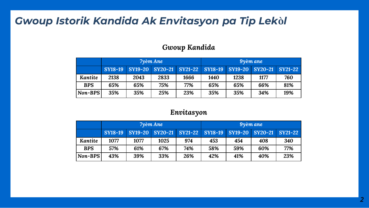## *Gwoup Istorik Kandida Ak Envitasyon pa Tip Lek***ò***l*

#### *Gwoup Kandida*

|            | <b>7yèm Ane</b> |                         |      | $9\gamma$ èm ane |                |      |                         |     |
|------------|-----------------|-------------------------|------|------------------|----------------|------|-------------------------|-----|
|            | SY18-19         | SY19-20 SY20-21 SY21-22 |      |                  | <b>SY18-19</b> |      | SY19-20 SY20-21 SY21-22 |     |
| Kantite    | 2138            | 2043                    | 2833 | 1666             | 1440           | 1238 | 1177                    | 760 |
| <b>BPS</b> | 65%             | 65%                     | 75%  | 77%              | 65%            | 65%  | 66%                     | 81% |
| Non-BPS    | 35%             | 35%                     | 25%  | 23%              | 35%            | 35%  | 34%                     | 19% |

#### *Envitasyon*

|            | <b>7vèm Ane</b> |                         |      | $9\gamma$ èm ane |                |                |                 |     |
|------------|-----------------|-------------------------|------|------------------|----------------|----------------|-----------------|-----|
|            | <b>SY18-19</b>  | SY19-20 SY20-21 SY21-22 |      |                  | <b>SY18-19</b> | <b>SY19-20</b> | SY20-21 SY21-22 |     |
| Kantite    | 1077            | 1077                    | 1025 | 974              | 453            | 454            | 408             | 340 |
| <b>BPS</b> | 57%             | 61%                     | 67%  | 74%              | 58%            | 59%            | 60%             | 77% |
| $Non-BPS$  | 43%             | 39%                     | 33%  | 26%              | 42%            | 41%            | 40%             | 23% |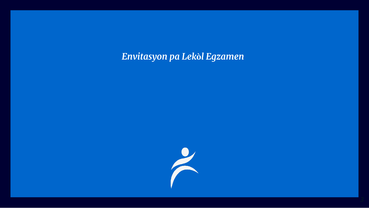Envitasyon pa Lekòl Egzamen

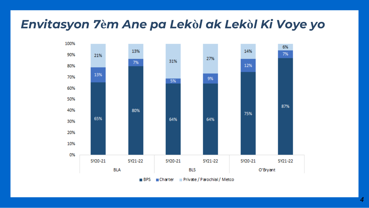# Envitasyon 7èm Ane pa Lekòl ak Lekòl Ki Voye yo



4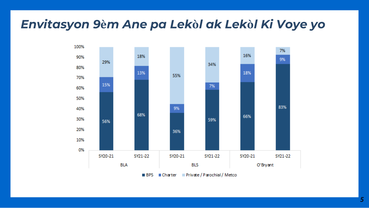# Envitasyon 9èm Ane pa Lekòl ak Lekòl Ki Voye yo



5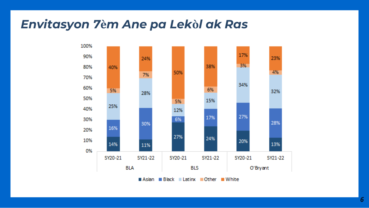# Envitasyon 7èm Ane pa Lekòl ak Ras

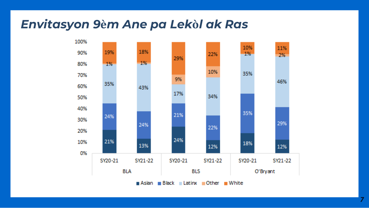## Envitasyon 9èm Ane pa Lekòl ak Ras



7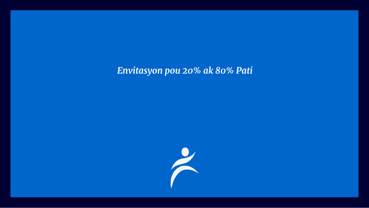#### *Envitasyon pou 20% ak 80% Pati*

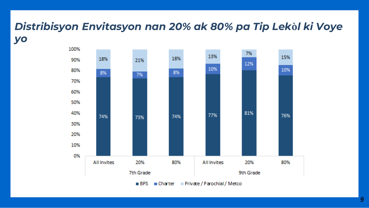# *Distribisyon Envitasyon nan 20% ak 80% pa Tip Lek***ò***l ki Voye yo*



*9*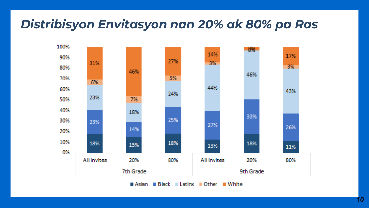# *Distribisyon Envitasyon nan 20% ak 80% pa Ras*

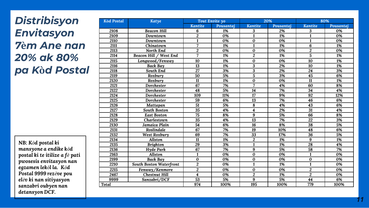# *Distribisyon Envitasyon* **è***m Ane nan 20% ak 80% pa K***ò***d Postal*

*NB: K òd postal ki mansyone a endike k òd postal ki te itilize a fè pati pwosesis envitasyon nan egzamen lek òl la. K òd Postal 9999 rez ève pou el èv ki nan sitiyasyon sanzabri oubyen nan detansyon DCF.*

| <b>Kòd Postal</b> | Katye                   | Tout Envite yo          |                  | 20%                     |           | 80%              |                  |
|-------------------|-------------------------|-------------------------|------------------|-------------------------|-----------|------------------|------------------|
|                   |                         | <b>Kantite</b>          | Pousantaj        | Kantite                 | Pousantaj | Kantite          | Pousantaj        |
| 2108              | <b>Beacon Hill</b>      | 6                       | 1%               | 3                       | 2%        | 3                | 0%               |
| 2109              | Downtown                | $\overline{c}$          | 0%               | $\mathbf{1}$            | 1%        | $\mathbf{1}$     | 0%               |
| 2110              | Downtown                | $\mathbf{1}$            | 0%               | $\bf{0}$                | 0%        | $\mathbf{1}$     | 0%               |
| 2111              | Chinatown               | 7                       | 1%               | $\mathbf{1}$            | 1%        | 6                | 1%               |
| 2113              | North End               | $\overline{2}$          | $\overline{0\%}$ | $\overline{0}$          | 0%        | $\overline{2}$   | $\overline{0\%}$ |
| 2114              | Beacon Hill / West End  | $\overline{7}$          | 1%               | $\overline{2}$          | 1%        | $\overline{5}$   | 1%               |
| 2115              | Longwood/Fenway         | 10                      | 1%               | 0                       | 0%        | 10               | 1%               |
| 2116              | <b>Back Bay</b>         | 13                      | 1%               | 3                       | 2%        | 10               | 1%               |
| 2118              | South End               | $\overline{27}$         | 3%               | $\overline{\mathbf{3}}$ | 2%        | $\overline{24}$  | 3%               |
| 2119              | Roxbury                 | 50                      | 5%               | $\overline{5}$          | 3%        | 45               | 6%               |
| 2120              | Roxbury                 | 11                      | 1%               | 0                       | 0%        | 11               | 1%               |
| 2121              | Dorchester              | 67                      | 7%               | 7                       | 4%        | 60               | 8%               |
| 2122              | Dorchester              | 48                      | 5%               | 14                      | 7%        | 34               | 4%               |
| 2124              | Dorchester              | 109                     | 11%              | 17                      | 9%        | 92               | 12%              |
| 2125              | Dorchester              | 59                      | 6%               | 13                      | 7%        | 46               | 6%               |
| 2126              | Mattapan                | 51                      | 5%               | 8                       | 4%        | $\overline{43}$  | 6%               |
| 2127              | <b>South Boston</b>     | $\overline{35}$         | 4%               | $\overline{\mathbf{4}}$ | 2%        | $\overline{31}$  | 4%               |
| 2128              | <b>East Boston</b>      | 75                      | 8%               | 9                       | 5%        | 66               | 8%               |
| 2129              | Charlestown             | $\overline{35}$         | 4%               | 13                      | 7%        | 22               | 3%               |
| 2130              | Jamaica Plain           | 54                      | 6%               | $\overline{16}$         | 8%        | 38               | 5%               |
| 2131              | Roslindale              | 67                      | 7%               | 19                      | 10%       | 48               | 6%               |
| 2132              | West Roxbury            | 69                      | 7%               | 33                      | 17%       | 36               | 5%               |
| 2134              | Allston                 | 11                      | 1%               | $\overline{2}$          | 1%        | 9                | 1%               |
| 2135              | <b>Brighton</b>         | 29                      | 3%               | $\mathbf{1}$            | 1%        | 28               | 4%               |
| 2136              | Hyde Park               | 67                      | 7%               | 9                       | 5%        | 58               | 7%               |
| 2163              | Allston                 | $\mathbf{1}$            | 0%               | 0                       | 0%        | $\mathbf{1}$     | 0%               |
| 2199              | <b>Back Bay</b>         | $\bf{0}$                | 0%               | 0                       | 0%        | $\bf{0}$         | 0%               |
| 2210              | South Boston Waterfront | $\overline{2}$          | 0%               | $\mathbf{1}$            | 1%        | $\mathbf{1}$     | 0%               |
| 2215              | Fenway/Kenmore          | $\boldsymbol{2}$        | 0%               | $\bf{0}$                | 0%        | $\boldsymbol{2}$ | 0%               |
| 2467              | Chestnut Hill           | $\overline{\mathbf{4}}$ | 0%               | 2                       | 1%        | $\boldsymbol{2}$ | 0%               |
| 9999              | Sanzabri/DCF            | 53                      | 5%               | 9                       | 5%        | 44               | 6%               |
| <b>Total</b>      |                         | 974                     | 100%             | 195                     | 100%      | 779              | 100%             |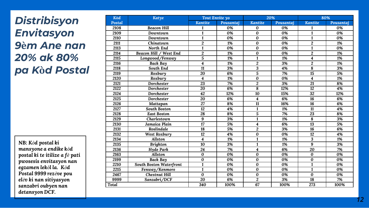# *Distribisyon Envitasyon* **è***m Ane nan 20% ak 80% pa K***ò***d Postal*

*NB: K òd postal ki mansyone a endike k òd postal ki te itilize a fè pati pwosesis envitasyon nan egzamen lek òl la. K òd Postal 9999 rez ève pou el èv ki nan sitiyasyon sanzabri oubyen nan detansyon DCF.*

| Kòd    | Katye                   | Tout Envite yo          |                  | 20%                     |           | 80%                     |           |
|--------|-------------------------|-------------------------|------------------|-------------------------|-----------|-------------------------|-----------|
| Postal |                         | <b>Kantite</b>          | Pousantaj        | <b>Kantite</b>          | Pousantaj | <b>Kantite</b>          | Pousantaj |
| 2108   | <b>Beacon Hill</b>      | 1                       | 0%               | 0                       | 0%        | 1                       | 0%        |
| 2109   | Downtown                | $\mathbf{1}$            | $\overline{0\%}$ | $\bf{0}$                | 0%        | $\mathbf{1}$            | 0%        |
| 2110   | Downtown                | $\mathbf{1}$            | 0%               | $\bf{0}$                | 0%        | $\mathbf{1}$            | 0%        |
| 2111   | Chinatown               | 2                       | 1%               | $\bf{0}$                | 0%        | $\overline{c}$          | 1%        |
| 2113   | North End               | $\mathbf{1}$            | 0%               | $\bf{0}$                | 0%        | $\mathbf{1}$            | 0%        |
| 2114   | Beacon Hill / West End  | $\overline{c}$          | 1%               | 0                       | 0%        | $\overline{c}$          | 1%        |
| 2115   | Longwood/Fenway         | $\overline{5}$          | 1%               | $\mathbf{1}$            | 1%        | $\overline{\mathbf{4}}$ | 1%        |
| 2116   | Back Bay                | 4                       | 1%               | $\overline{2}$          | 3%        | $\overline{c}$          | 1%        |
| 2118   | South End               | 11                      | 3%               | 3                       | 4%        | 8                       | 3%        |
| 2119   | Roxbury                 | 20                      | 6%               | 5                       | 7%        | 15                      | 5%        |
| 2120   | Roxbury                 | 4                       | 1%               | $\bf{0}$                | 0%        | $\overline{\mathbf{4}}$ | 1%        |
| 2121   | <b>Dorchester</b>       | 23                      | 7%               | $\overline{2}$          | 3%        | 21                      | 8%        |
| 2122   | <b>Dorchester</b>       | 20                      | 6%               | 8                       | 12%       | 12                      | 4%        |
| 2124   | Dorchester              | 42                      | 12%              | 10                      | 15%       | 32                      | 12%       |
| 2125   | Dorchester              | 20                      | 6%               | $\overline{\mathbf{4}}$ | 6%        | 16                      | 6%        |
| 2126   | Mattapan                | 27                      | 8%               | 11                      | 16%       | 16                      | 6%        |
| 2127   | <b>South Boston</b>     | 12                      | 4%               | $\mathbf{1}$            | 1%        | 11                      | 4%        |
| 2128   | <b>East Boston</b>      | 28                      | 8%               | 5                       | 7%        | 23                      | 8%        |
| 2129   | Charlestown             | 9                       | 3%               | $\mathbf{1}$            | 1%        | 8                       | 3%        |
| 2130   | Jamaica Plain           | $\overline{17}$         | 5%               | $\overline{\mathbf{4}}$ | 6%        | 13                      | 5%        |
| 2131   | Roslindale              | 18                      | 5%               | $\overline{2}$          | 3%        | 16                      | 6%        |
| 2132   | West Roxbury            | 12                      | 4%               | $\bf{0}$                | 0%        | 12                      | 4%        |
| 2134   | <b>Allston</b>          | $\overline{\mathbf{4}}$ | 1%               | $\mathbf{1}$            | 1%        | 3                       | 1%        |
| 2135   | <b>Brighton</b>         | 10                      | 3%               | 1                       | 1%        | 9                       | 3%        |
| 2136   | Hyde Park               | 24                      | 7%               | $\overline{\mathbf{4}}$ | 6%        | 20                      | 7%        |
| 2163   | Allston                 | $\bf{0}$                | 0%               | $\bf{0}$                | 0%        | $\bf{0}$                | 0%        |
| 2199   | <b>Back Bay</b>         | $\bf{0}$                | 0%               | $\bf{0}$                | 0%        | $\bf{0}$                | 0%        |
| 2210   | South Boston Waterfront | $\mathbf{1}$            | 0%               | $\overline{0}$          | 0%        | $\overline{\mathbf{1}}$ | 0%        |
| 2215   | Fenway/Kenmore          | 1                       | 0%               | $\bf{0}$                | 0%        | $\mathbf{1}$            | 0%        |
| 2467   | <b>Chestnut Hill</b>    | $\bf{0}$                | 0%               | $\bf{0}$                | 0%        | $\bf{0}$                | 0%        |
| 9999   | Sanzabri/DCF            | 20                      | 6%               | $\overline{2}$          | 3%        | 18                      | 7%        |
| Total  |                         | 340                     | 100%             | 67                      | 100%      | 273                     | 100%      |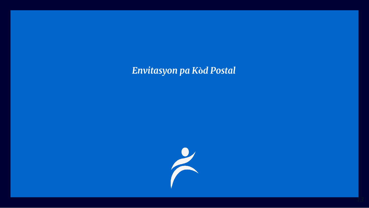## Envitasyon pa Kòd Postal

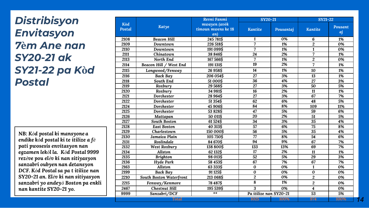# **Distribisyon Envitasyon 7èm Ane nan SY20-21 ak** SY21-22 pa Kòd **Postal**

NB: Kòd postal ki mansyone a endike kod postal ki te itilize a fè pati pwosesis envitasyon nan egzamen lekòl la. Kòd Postal 9999 rezève pou elèv ki nan sitiyasyon sanzabri oubyen nan detansyon DCF. Kòd Postal sa pa t itilize nan SY20-21 an. Elèv ki nan sitiyasyon sanzabri yo andeyò Boston pa enkli nan kantite SY20-21 yo.

|                      |                         | Revni Fanmi                               | SY20-21                 |           | <b>SY21-22</b>          |               |
|----------------------|-------------------------|-------------------------------------------|-------------------------|-----------|-------------------------|---------------|
| Kòd<br><b>Postal</b> | Katye                   | mwayen (avèk<br>timoun mwens ke 18<br>an) | <b>Kantite</b>          | Pousantaj | <b>Kantite</b>          | Pousant<br>aj |
| 2108                 | <b>Beacon Hill</b>      | 245 781\$                                 | 1                       | 0%        | 6                       | 1%            |
| 2109                 | Downtown                | 226 518\$                                 | 7                       | 1%        | $\overline{2}$          | 0%            |
| 2110                 | Downtown                | 191099\$                                  | 7                       | 1%        | $\overline{\mathbf{1}}$ | 0%            |
| 2111                 | Chinatown               | 38 846\$                                  | 24                      | 2%        | $\overline{7}$          | 1%            |
| 2113                 | North End               | 167566\$                                  | 7                       | 1%        | $\overline{2}$          | 0%            |
| 2114                 | Beacon Hill / West End  | 191131\$                                  | 19                      | 2%        | $\overline{7}$          | 1%            |
| 2115                 | Longwood/Fenway         | 26 958\$                                  | 14                      | 1%        | 10                      | 1%            |
| 2116                 | Back Bay                | 206 054\$                                 | 27                      | 3%        | 13                      | 1%            |
| 2118                 | South End               | 51000\$                                   | 36                      | 4%        | 27                      | 3%            |
| 2119                 | Roxbury                 | 29568\$                                   | 27                      | 3%        | 50                      | 5%            |
| 2120                 | Roxbury                 | 34 981\$                                  | 16                      | 2%        | 11                      | 1%            |
| 2121                 | Dorchester              | 28 964\$                                  | 27                      | 3%        | 67                      | 7%            |
| 2122                 | Dorchester              | 51 354\$                                  | 62                      | 6%        | 48                      | 5%            |
| 2124                 | Dorchester              | 45 906\$                                  | 84                      | 8%        | 109                     | 11%           |
| 2125                 | Dorchester              | 53 828\$                                  | 47                      | 5%        | 59                      | 6%            |
| 2126                 | Mattapan                | 50 011\$                                  | 20                      | 2%        | 51                      | 5%            |
| 2127                 | South Boston            | 61524\$                                   | 34                      | 3%        | 35                      | 4%            |
| 2128                 | <b>East Boston</b>      | 40 313\$                                  | 57                      | 6%        | 75                      | 8%            |
| 2129                 | Charlestown             | 150 000\$                                 | $\overline{56}$         | 5%        | 35                      | 4%            |
| 2130                 | Jamaica Plain           | 105 750\$                                 | 77                      | 8%        | 54                      | 6%            |
| 2131                 | Roslindale              | 84 670\$                                  | 94                      | 9%        | 67                      | 7%            |
| 2132                 | West Roxbury            | 138 800\$                                 | 133                     | 13%       | 69                      | 7%            |
| 2134                 | Allston                 | 62 132\$                                  | 17                      | 2%        | 11                      | 1%            |
| 2135                 | <b>Brighton</b>         | 98 013\$                                  | 52                      | 5%        | 29                      | 3%            |
| 2136                 | Hyde Park               | 58 453\$                                  | 67                      | 7%        | 67                      | 7%            |
| 2163                 | Allston                 | 63 333\$                                  | $\bf{0}$                | 0%        | $\mathbf{1}$            | 0%            |
| 2199                 | <b>Back Bay</b>         | 91 125\$                                  | $\bf{0}$                | 0%        | 0                       | 0%            |
| 2210                 | South Boston Waterfront | 213 068\$                                 | 2                       | 0%        | $\overline{c}$          | 0%            |
| 2215                 | Fenway/Kenmore          | 78 487\$                                  | 8                       | 1%        | $\overline{2}$          | 0%            |
| 2467                 | <b>Chestnut Hill</b>    | 195 539\$                                 | $\overline{\mathbf{3}}$ | 0%        | 4                       | 0%            |
| 9999                 | Sanzabri/DCF            | $**$                                      | Pa itilize nan SY20-21  |           | 53                      | 5%            |
|                      | Total                   |                                           | 1025                    | 100%      | 974                     | 100%          |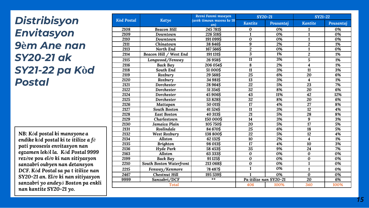# *Distribisyon Envitasyon 9***è***m Ane nan SY20-21 ak SY21-22 pa K***ò***d Postal*

*NB: Kòd postal ki mansyone a endike kòd postal ki te itilize a fè pati pwosesis envitasyon nan egzamen lekòl la. Kòd Postal 9999 rezève pou elèv ki nan sitiyasyon sanzabri oubyen nan detansyon DCF. Kòd Postal sa pa t itilize nan SY20-21 an. Elèv ki nan sitiyasyon sanzabri yo andeyò Boston pa enkli nan kantite SY20-21 yo.*

|                   |                         | Revni Fanmi mwayen             | SY20-21                |           | <b>SY21-22</b>          |           |
|-------------------|-------------------------|--------------------------------|------------------------|-----------|-------------------------|-----------|
| <b>Kòd Postal</b> | Katye                   | avèk timoun mwens ke 18<br>an) | Kantite                | Pousantaj | <b>Kantite</b>          | Pousantaj |
| 2108              | <b>Beacon Hill</b>      | 245 781\$                      | $\bf{0}$               | 0%        |                         | 0%        |
| 2109              | Downtown                | 226 518\$                      | 1                      | 0%        | $\mathbf{1}$            | 0%        |
| 2110              | Downtown                | 191099\$                       | $\bf{0}$               | 0%        | $\mathbf{1}$            | 0%        |
| 2111              | Chinatown               | 38846\$                        | 9                      | 2%        | $\overline{2}$          | 1%        |
| 2113              | North End               | 167566\$                       | $\overline{c}$         | 0%        | $\mathbf{1}$            | 0%        |
| 2114              | Beacon Hill / West End  | 191131\$                       | 3                      | 1%        | $\overline{2}$          | 1%        |
| 2115              | Longwood/Fenway         | 26958\$                        | 11                     | 3%        | $\overline{5}$          | 1%        |
| 2116              | Back Bay                | 206 054\$                      | 8                      | 2%        | $\overline{\mathbf{4}}$ | 1%        |
| 2118              | South End               | 51000S                         | $\overline{11}$        | 3%        | 11                      | 3%        |
| 2119              | Roxbury                 | 29 568\$                       | 25                     | 6%        | 20                      | 6%        |
| 2120              | Roxbury                 | 34 981\$                       | $\overline{13}$        | 3%        | $\overline{\mathbf{4}}$ | 1%        |
| 2121              | Dorchester              | 28964\$                        | 22                     | 5%        | 23                      | 7%        |
| 2122              | <b>Dorchester</b>       | 51 354\$                       | 32                     | 8%        | 20                      | 6%        |
| 2124              | Dorchester              | 45 906\$                       | $\overline{43}$        | 11%       | $\overline{42}$         | 12%       |
| 2125              | Dorchester              | 53 828\$                       | 32                     | 8%        | 20                      | 6%        |
| 2126              | Mattapan                | 50 011\$                       | $\overline{17}$        | 4%        | $\overline{27}$         | 8%        |
| 2127              | <b>South Boston</b>     | 61 524\$                       | $\overline{11}$        | 3%        | $\overline{12}$         | 4%        |
| 2128              | <b>East Boston</b>      | 40 313\$                       | 21                     | 5%        | 28                      | 8%        |
| 2129              | Charlestown             | 150 000\$                      | 14                     | 3%        | 9                       | 3%        |
| 2130              | Jamaica Plain           | 105750\$                       | 20                     | 5%        | 17                      | 5%        |
| 2131              | Roslindale              | 84 670\$                       | 25                     | 6%        | 18                      | 5%        |
| 2132              | West Roxbury            | 138 800\$                      | $\overline{22}$        | 5%        | $\overline{12}$         | 4%        |
| 2134              | <b>Allston</b>          | 62 132\$                       | 10                     | 2%        | 4                       | 1%        |
| 2135              | <b>Brighton</b>         | 98 013\$                       | 17                     | 4%        | 10                      | 3%        |
| 2136              | Hyde Park               | 58 4 53 \$                     | $\overline{35}$        | 9%        | $\overline{24}$         | 7%        |
| 2163              | Allston                 | 63 333\$                       | $\bf{0}$               | 0%        | $\bf{0}$                | 0%        |
| 2199              | <b>Back Bay</b>         | 91125\$                        | $\bf{0}$               | 0%        | $\bf{0}$                | 0%        |
| 2210              | South Boston Waterfront | 213 068\$                      | $\overline{0}$         | 0%        | $\mathbf{1}$            | 0%        |
| 2215              | Fenway/Kenmore          | 78487\$                        | 1                      | 0%        | $\mathbf{1}$            | 0%        |
| 2467              | Chestnut Hill           | 195 539\$                      | 1                      | 0%        | $\bf{0}$                | 0%        |
| 9999              | Sanzabri/DCF            | $\star\star$                   | Pa itilize nan SY20-21 |           | 20                      | 6%        |
|                   | <b>Total</b>            |                                | 406                    | 100%      | 340                     | 100%      |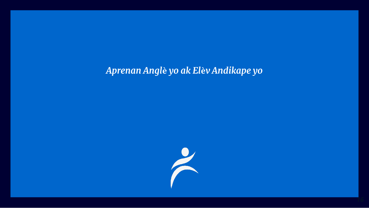#### *Aprenan Angl***è** *yo ak El***è***v Andikape yo*



*16*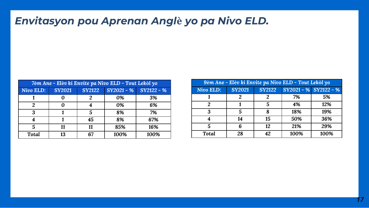## *Envitasyon pou Aprenan Angl***è** *yo pa Nivo ELD.*

| 7èm Ane - Elèv ki Envite pa Nivo ELD - Tout Lekòl yo |                                                              |    |      |      |  |  |  |
|------------------------------------------------------|--------------------------------------------------------------|----|------|------|--|--|--|
| Nivo ELD:                                            | SY2122 - %<br>$SY2021 - %$<br><b>SY2021</b><br><b>SY2122</b> |    |      |      |  |  |  |
|                                                      |                                                              | 2  | 0%   | 3%   |  |  |  |
|                                                      |                                                              |    | 0%   | 6%   |  |  |  |
| 3                                                    |                                                              | 5  | 8%   | 7%   |  |  |  |
|                                                      |                                                              | 45 | 8%   | 67%  |  |  |  |
|                                                      | 11                                                           | 11 | 85%  | 16%  |  |  |  |
| <b>Total</b>                                         | 13                                                           | 67 | 100% | 100% |  |  |  |

| 9èm Ane - Elèv ki Envite pa Nivo ELD - Tout Lekòl yo |               |               |      |                       |  |  |  |  |
|------------------------------------------------------|---------------|---------------|------|-----------------------|--|--|--|--|
| Nivo ELD:                                            | <b>SY2021</b> | <b>SY2122</b> |      | SY2021 - % SY2122 - % |  |  |  |  |
|                                                      | 2             | 2             | 7%   | 5%                    |  |  |  |  |
| 2                                                    |               |               | 4%   | 12%                   |  |  |  |  |
| 3                                                    | 5             | ጸ             | 18%  | 19%                   |  |  |  |  |
|                                                      | 14            | 15            | 50%  | 36%                   |  |  |  |  |
| 5                                                    | 6             | 12            | 21%  | 29%                   |  |  |  |  |
| Total                                                | 28            | 42            | 100% | 100%                  |  |  |  |  |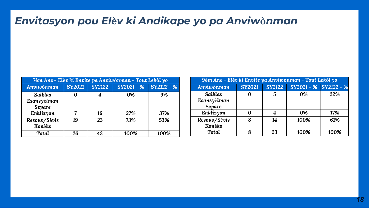# *Envitasyon pou El***è***v ki Andikape yo pa Anviw***ò***nman*

| 7èm Ane - Elèv ki Envite pa Anviwònman - Tout Lekòl yo |               |               |            |            |  |  |  |
|--------------------------------------------------------|---------------|---------------|------------|------------|--|--|--|
| Anviwònman                                             | <b>SY2021</b> | <b>SY2122</b> | SY2021 - % | SY2122 - % |  |  |  |
| <b>Salklas</b><br>Esansyèlman<br><b>Separe</b>         |               |               | 0%         | 9%         |  |  |  |
| Enklizyon                                              |               | 16            | 27%        | 37%        |  |  |  |
| Resous/Sèvis<br>Konèks                                 | 19            | 23            | 73%        | 53%        |  |  |  |
| <b>Total</b>                                           | 26            | 43            | 100%       | 100%       |  |  |  |

| 9èm Ane - Elèv ki Envite pa Anviwònman - Tout Lekòl yo |               |               |                       |      |  |  |
|--------------------------------------------------------|---------------|---------------|-----------------------|------|--|--|
| Anviwònman                                             | <b>SY2021</b> | <b>SY2122</b> | SY2021 - % SY2122 - % |      |  |  |
| <b>Salklas</b>                                         |               | 5             | 0%                    | 22%  |  |  |
| Esansyèlman                                            |               |               |                       |      |  |  |
| <b>Separe</b>                                          |               |               |                       |      |  |  |
| Enklizyon                                              |               |               | 0%                    | 17%  |  |  |
| Resous/Sèvis                                           | 8             | 14            | 100%                  | 61%  |  |  |
| Konèks                                                 |               |               |                       |      |  |  |
| <b>Total</b>                                           | ጸ             | 23            | 100%                  | 100% |  |  |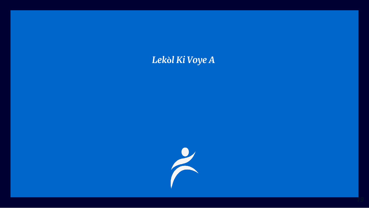## Lekòl Ki Voye A

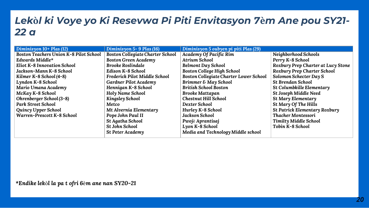#### *Lek***ò***l ki Voye yo Ki Resevwa Pi Piti Envitasyon 7***è***m Ane pou SY21- 22 a*

| Diminisyon 10+ Plas (12)                      | Diminisyon 5-9 Plas (16)                | Diminisyon 5 oubyen pi piti Plas (29)         |                                    |
|-----------------------------------------------|-----------------------------------------|-----------------------------------------------|------------------------------------|
| <b>Boston Teachers Union K-8 Pilot School</b> | <b>Boston Collegiate Charter School</b> | Academy Of Pacific Rim                        | Neighborhood Schools               |
| Edwards Middle*                               | <b>Boston Green Academy</b>             | <b>Atrium School</b>                          | Perry K-8 School                   |
| <b>Eliot K-8 Innovation School</b>            | <b>Brooke Roslindale</b>                | <b>Belmont Day School</b>                     | Roxbury Prep Charter at Lucy Stone |
| Jackson-Mann K-8 School                       | <b>Edison K-8 School</b>                | <b>Boston College High School</b>             | Roxbury Prep Charter School        |
| Kilmer K-8 School (4-8)                       | Frederick Pilot Middle School           | <b>Boston Collegiate Charter Lower School</b> | Solomon Schecter Day S             |
| Lyndon K-8 School                             | Gardner Pilot Academy                   | Brimmer & May School                          | <b>St Brendan School</b>           |
| Mario Umana Academy                           | Hennigan K-8 School                     | <b>British School Boston</b>                  | St Columbkille Elementary          |
| McKay K-8 School                              | Holy Name School                        | <b>Brooke Mattapan</b>                        | St Joseph Middle Need              |
| Ohrenberger School (3-8)                      | <b>Kingsley School</b>                  | <b>Chestnut Hill School</b>                   | St Mary Elementary                 |
| <b>Park Street School</b>                     | Metco                                   | Dexter School                                 | St Mary Of The Hills               |
| <b>Quincy Upper School</b>                    | Mt Alvernia Elementary                  | Hurley K-8 School                             | St Patrick Elementary Roxbury      |
| Warren-Prescott K-8 School                    | Pope John Paul II                       | <b>Jackson School</b>                         | <b>Thacher Montessori</b>          |
|                                               | St Agatha School                        | Pwojè Aprantisaj                              | Timilty Middle School              |
|                                               | <b>St John School</b>                   | Lyon K-8 School                               | Tobin K-8 School                   |
|                                               | <b>St Peter Academy</b>                 | Media and Technology Middle school            |                                    |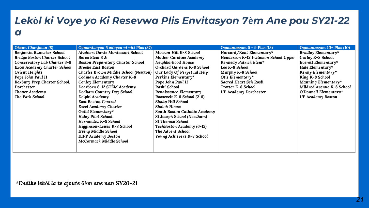## *Lek***ò***l ki Voye yo Ki Resevwa Plis Envitasyon 7***è***m Ane pou SY21-22 a*

| Okenn Chanjman (8)                  | Ogmantasyon 5 oubyen pi piti Plas (37)   |                               | Ogmantasyon $5 - 9$ Plas (13)         | Ogmantasyon $10+$ Plas (10) |
|-------------------------------------|------------------------------------------|-------------------------------|---------------------------------------|-----------------------------|
| Benjamin Banneker School            | Alighieri Dante Montessori School        | Mission Hill K-8 School       | Harvard/Kent Elementary*              | Bradley Elementary*         |
| <b>Bridge Boston Charter School</b> | Berea Elem & Jr                          | Mother Caroline Academy       | Henderson K-12 Inclusion School Upper | Curley K-8 School           |
| Conservatory Lab Charter 3-8        | <b>Boston Preparatory Charter School</b> | Neighborhood House            | Kennedy Patrick Elem*                 | Everett Elementary*         |
| <b>Excel Academy Charter School</b> | <b>Brooke East Boston</b>                | Orchard Gardens K-8 School    | Lee K-8 School                        | Hale Elementary*            |
| Orient Heights                      | Charles Brown Middle School (Newton)     | Our Lady Of Perpetual Help    | Murphy K-8 School                     | Kenny Elementary*           |
| Pope John Paul II                   | Codman Academy Charter K-8               | Perkins Elementary*           | Otis Elementary*                      | King K-8 School             |
| Roxbury Prep Charter School,        | Conley Elementary                        | Pope John Paul II             | Sacred Heart Sch Rosli                | Manning Elementary*         |
| Dorchester                          | Dearborn 6-12 STEM Academy               | Rashi School                  | Trotter K-8 School                    | Mildred Avenue K-8 School   |
| Thayer Academy                      | Dedham Country Day School                | Renaissance Elementary        | <b>UP Academy Dorchester</b>          | O'Donnell Elementary*       |
| The Park School                     | Delphi Academy                           | Roosevelt K-8 School (2-8)    |                                       | <b>UP Academy Boston</b>    |
|                                     | <b>East Boston Central</b>               | Shady Hill School             |                                       |                             |
|                                     | Excel Academy Charter                    | <b>Shaloh House</b>           |                                       |                             |
|                                     | Guild Elementary*                        | South Boston Catholic Academy |                                       |                             |
|                                     | Haley Pilot School                       | St Joseph School (Needham)    |                                       |                             |
|                                     | Hernandez K-8 School                     | <b>St Theresa School</b>      |                                       |                             |
|                                     | Higginson-Lewis K-8 School               | TechBoston Academy (6-12)     |                                       |                             |
|                                     | <b>Irving Middle School</b>              | The Advent School             |                                       |                             |
|                                     | <b>KIPP Academy Boston</b>               | Young Achievers K-8 School    |                                       |                             |
|                                     | McCormack Middle School                  |                               |                                       |                             |
|                                     |                                          |                               |                                       |                             |
|                                     |                                          |                               |                                       |                             |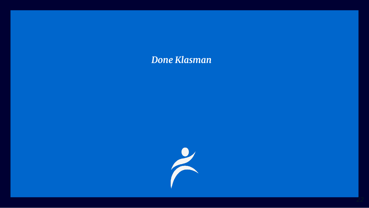#### Done Klasman

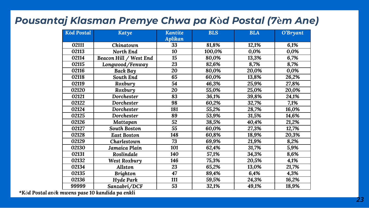#### *Pousantaj Klasman Premye Chwa pa K***ò***d Postal (7***è***m Ane)*

| Kòd Postal | Katye                     | <b>Kantite</b> | <b>BLS</b> | <b>BLA</b> | O'Bryant |
|------------|---------------------------|----------------|------------|------------|----------|
|            |                           | Aplikan        |            |            |          |
| 02111      | Chinatown                 | 33             | 81,8%      | 12,1%      | 6,1%     |
| 02113      | North End                 | 10             | 100,0%     | 0,0%       | 0,0%     |
| 02114      | Beacon Hill /<br>West End | 15             | 80,0%      | 13,3%      | 6,7%     |
| 02115      | Longwood/Fenway           | 23             | 82,6%      | 8,7%       | 8,7%     |
| 02116      | <b>Back Bay</b>           | 20             | 80,0%      | 20,0%      | 0,0%     |
| 02118      | South End                 | 65             | 60,0%      | 13,8%      | 26,2%    |
| 02119      | Roxbury                   | 54             | 46,3%      | 25,9%      | 27,8%    |
| 02120      | Roxbury                   | 20             | 55,0%      | 25,0%      | 20,0%    |
| 02121      | Dorchester                | 83             | 36,1%      | 39,8%      | 24,1%    |
| 02122      | Dorchester                | 98             | 60,2%      | 32,7%      | 7,1%     |
| 02124      | Dorchester                | 181            | 55,2%      | 28,7%      | 16,0%    |
| 02125      | Dorchester                | 89             | 53,9%      | 31,5%      | 14,6%    |
| 02126      | Mattapan                  | 52             | 38,5%      | 40,4%      | 21,2%    |
| 02127      | <b>South Boston</b>       | 55             | 60,0%      | 27,3%      | 12,7%    |
| 02128      | <b>East Boston</b>        | 148            | 60,8%      | 18,9%      | 20,3%    |
| 02129      | Charlestown               | 73             | 69,9%      | 21,9%      | 8,2%     |
| 02130      | Jamaica Plain             | 101            | 62,4%      | 31,7%      | 5,9%     |
| 02131      | Roslindale                | 140            | 57,1%      | 34,3%      | 8,6%     |
| 02132      | West Roxbury              | 146            | 75,3%      | 20,5%      | 4,1%     |
| 02134      | Allston                   | 23             | 65,2%      | 13,0%      | 21,7%    |
| 02135      | <b>Brighton</b>           | 47             | 89,4%      | 6,4%       | 4,3%     |
| 02136      | Hyde Park                 | 111            | 59,5%      | 24,3%      | 16,2%    |
| 99999      | Sanzabri/DCF              | 53             | 32,1%      | 49,1%      | 18,9%    |

*\*Kòd Postal avèk mwens pase 10 kandida pa enkli*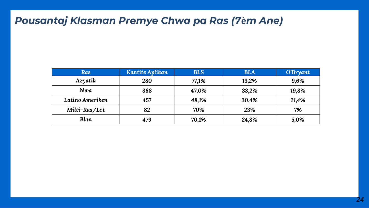#### Pousantaj Klasman Premye Chwa pa Ras (7èm Ane)

| Ras             | Kantite Aplikan | <b>BLS</b> | <b>BLA</b> | O'Bryant |
|-----------------|-----------------|------------|------------|----------|
| Azyatik         | 280             | 77,1%      | 13,2%      | 9,6%     |
| Nwa             | 368             | 47,0%      | 33,2%      | 19,8%    |
| Latino Ameriken | 457             | 48,1%      | 30,4%      | 21,4%    |
| Milti-Ras/Lòt   | 82              | 70%        | 23%        | 7%       |
| <b>Blan</b>     | 479             | 70,1%      | 24,8%      | 5,0%     |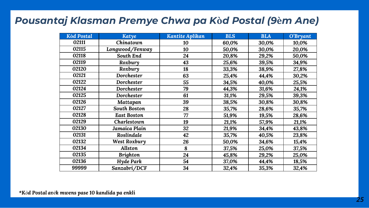#### *Pousantaj Klasman Premye Chwa pa K***ò***d Postal (9***è***m Ane)*

| <b>Kòd Postal</b> | Katye              | <b>Kantite Aplikan</b> | <b>BLS</b> | <b>BLA</b> | O'Bryant |
|-------------------|--------------------|------------------------|------------|------------|----------|
| 02111             | Chinatown          | 10                     | 60,0%      | 30,0%      | 10,0%    |
| 02115             | Longwood/Fenway    | 10                     | 50,0%      | 30,0%      | 20,0%    |
| 02118             | South End          | 24                     | 20,8%      | 29,2%      | 50,0%    |
| 02119             | Roxbury            | 43                     | 25,6%      | 39,5%      | 34,9%    |
| 02120             | Roxbury            | 18                     | 33,3%      | 38,9%      | 27,8%    |
| 02121             | Dorchester         | 63                     | 25,4%      | 44,4%      | 30,2%    |
| 02122             | Dorchester         | 55                     | 34,5%      | 40,0%      | 25,5%    |
| 02124             | Dorchester         | 79                     | 44,3%      | 31,6%      | 24,1%    |
| 02125             | Dorchester         | 61                     | 31,1%      | 29,5%      | 39,3%    |
| 02126             | Mattapan           | 39                     | 38,5%      | 30,8%      | 30,8%    |
| 02127             | South Boston       | 28                     | 35,7%      | 28,6%      | 35,7%    |
| 02128             | <b>East Boston</b> | 77                     | 51,9%      | 19,5%      | 28,6%    |
| 02129             | Charlestown        | 19                     | 21,1%      | 57,9%      | 21,1%    |
| 02130             | Jamaica Plain      | 32                     | 21,9%      | 34,4%      | 43,8%    |
| 02131             | Roslindale         | 42                     | 35,7%      | 40,5%      | 23,8%    |
| 02132             | West Roxbury       | 26                     | 50,0%      | 34,6%      | 15,4%    |
| 02134             | Allston            | 8                      | 37,5%      | 25,0%      | 37,5%    |
| 02135             | <b>Brighton</b>    | 24                     | 45,8%      | 29,2%      | 25,0%    |
| 02136             | Hyde Park          | 54                     | 37,0%      | 44,4%      | 18,5%    |
| 99999             | Sanzabri/DCF       | 34                     | 32,4%      | 35,3%      | 32,4%    |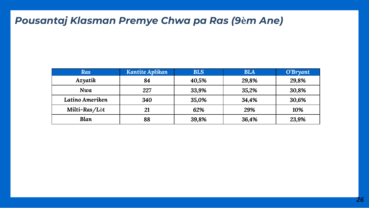#### Pousantaj Klasman Premye Chwa pa Ras (9èm Ane)

| Ras             | Kantite Aplikan | <b>BLS</b> | <b>BLA</b> | O'Bryant |
|-----------------|-----------------|------------|------------|----------|
| Azyatik         | 84              | 40,5%      | 29,8%      | 29,8%    |
| Nwa             | 227             | 33,9%      | 35,2%      | 30,8%    |
| Latino Ameriken | 340             | 35,0%      | 34,4%      | 30,6%    |
| Milti-Ras/Lòt   | 21              | 62%        | 29%        | 10%      |
| <b>Blan</b>     | 88              | 39,8%      | 36,4%      | 23,9%    |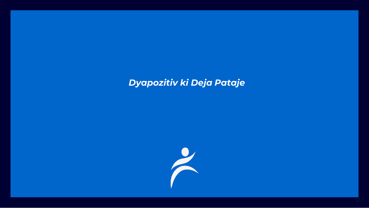#### Dyapozitiv ki Deja Pataje

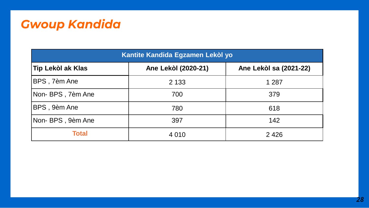# *Gwoup Kandida*

| Kantite Kandida Egzamen Lekòl yo |                     |                        |  |  |  |  |
|----------------------------------|---------------------|------------------------|--|--|--|--|
| Tip Lekòl ak Klas                | Ane Lekòl (2020-21) | Ane Lekòl sa (2021-22) |  |  |  |  |
| BPS, 7èm Ane                     | 2 1 3 3             | 1 2 8 7                |  |  |  |  |
| Non- BPS, 7èm Ane                | 700                 | 379                    |  |  |  |  |
| BPS, 9èm Ane                     | 780                 | 618                    |  |  |  |  |
| Non- BPS, 9èm Ane                | 397                 | 142                    |  |  |  |  |
| <b>Total</b>                     | 4 0 1 0             | 2426                   |  |  |  |  |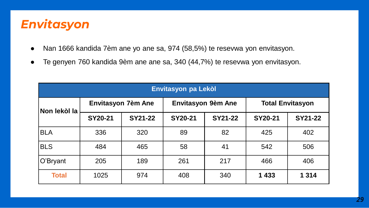# *Envitasyon*

- Nan 1666 kandida 7èm ane yo ane sa, 974 (58,5%) te resevwa yon envitasyon.
- Te genyen 760 kandida 9èm ane ane sa, 340 (44,7%) te resevwa yon envitasyon.

| Envitasyon pa Lekòl |                    |         |                    |         |                         |                |  |
|---------------------|--------------------|---------|--------------------|---------|-------------------------|----------------|--|
| Non lekòl la        | Envitasyon 7èm Ane |         | Envitasyon 9èm Ane |         | <b>Total Envitasyon</b> |                |  |
|                     | SY20-21            | SY21-22 | SY20-21            | SY21-22 | SY20-21                 | <b>SY21-22</b> |  |
| <b>BLA</b>          | 336                | 320     | 89                 | 82      | 425                     | 402            |  |
| <b>BLS</b>          | 484                | 465     | 58                 | 41      | 542                     | 506            |  |
| O'Bryant            | 205                | 189     | 261                | 217     | 466                     | 406            |  |
| <b>Total</b>        | 1025               | 974     | 408                | 340     | 1 4 3 3                 | 1 3 1 4        |  |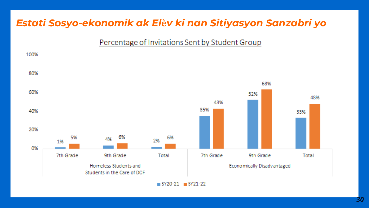#### Estati Sosyo-ekonomik ak Elèv ki nan Sitiyasyon Sanzabri yo

#### Percentage of Invitations Sent by Student Group

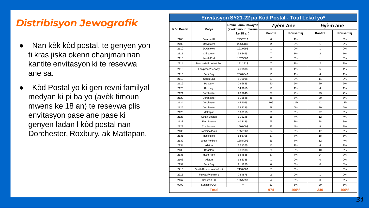#### *Distribisyon Jewografik*

- Nan kèk kòd postal, te genyen yon ti kras jiska okenn chanjman nan kantite envitasyon ki te resevwa ane sa.
- Kòd Postal yo ki gen revni familyal medyan ki pi ba yo (avèk timoun mwens ke 18 an) te resevwa plis envitasyon pase ane pase ki genyen ladan l kòd postal nan Dorchester, Roxbury, ak Mattapan.

| Envitasyon SY21-22 pa Kòd Postal - Tout Lekòl yo* |                         |                                                       |                         |           |                         |           |
|---------------------------------------------------|-------------------------|-------------------------------------------------------|-------------------------|-----------|-------------------------|-----------|
| <b>Kòd Postal</b>                                 | Katye                   | Revni Fanmi mwayen<br>(avèk timoun mwens<br>ke 18 an) | 7yèm Ane                |           | 9yèm ane                |           |
|                                                   |                         |                                                       | Kantite                 | Pousantaj | Kantite                 | Pousantaj |
| 2108                                              | Beacon Hill             | 245781\$                                              | 6                       | 1%        | $\mathbf{1}$            | 0%        |
| 2109                                              | Downtown                | 226518\$                                              | $\overline{2}$          | 0%        | $\mathbf{1}$            | 0%        |
| 2110                                              | Downtown                | 191099\$                                              | $\mathbf{1}$            | 0%        | $\mathbf{1}$            | 0%        |
| 2111                                              | Chinatown               | 38 846\$                                              | $\overline{7}$          | 1%        | $\overline{2}$          | 1%        |
| 2113                                              | North End               | 167566\$                                              | $\overline{2}$          | 0%        | $\mathbf{1}$            | 0%        |
| 2114                                              | Beacon Hill / West End  | 191 131\$                                             | $\overline{7}$          | 1%        | $\overline{2}$          | 1%        |
| 2115                                              | Longwood/Fenway         | 26958\$                                               | 10                      | 1%        | 5                       | 1%        |
| 2116                                              | Back Bay                | 206 054\$                                             | 13                      | 1%        | 4                       | 1%        |
| 2118                                              | South End               | 51 000\$                                              | 27                      | 3%        | 11                      | 3%        |
| 2119                                              | Roxbury                 | 29568\$                                               | 50                      | 5%        | 20                      | 6%        |
| 2120                                              | Roxbury                 | 34 981\$                                              | 11                      | 1%        | $\overline{\mathbf{4}}$ | 1%        |
| 2121                                              | Dorchester              | 28 964\$                                              | 67                      | 7%        | 23                      | 7%        |
| 2122                                              | Dorchester              | 51 354\$                                              | 48                      | 5%        | 20                      | 6%        |
| 2124                                              | Dorchester              | 45 906\$                                              | 109                     | 11%       | 42                      | 12%       |
| 2125                                              | Dorchester              | 53 828\$                                              | 59                      | 6%        | 20                      | 6%        |
| 2126                                              | Mattapan                | 50 011\$                                              | 51                      | 5%        | 27                      | 8%        |
| 2127                                              | South Boston            | 61 524\$                                              | 35                      | 4%        | 12                      | 4%        |
| 2128                                              | East Boston             | 40 31 3 \$                                            | 75                      | 8%        | 28                      | 8%        |
| 2129                                              | Charlestown             | 150 000\$                                             | 35                      | 4%        | 9                       | 3%        |
| 2130                                              | Jamaica Plain           | 105750\$                                              | 54                      | 6%        | 17                      | 5%        |
| 2131                                              | Roslindale              | 84 670\$                                              | 67                      | 7%        | 18                      | 5%        |
| 2132                                              | West Roxbury            | 138800\$                                              | 69                      | 7%        | 12                      | 4%        |
| 2134                                              | Allston                 | 62 132\$                                              | 11                      | 1%        | 4                       | 1%        |
| 2135                                              | <b>Brighton</b>         | 98 013\$                                              | 29                      | 3%        | 10                      | 3%        |
| 2136                                              | Hyde Park               | 58 453\$                                              | 67                      | 7%        | 24                      | 7%        |
| 2163                                              | Allston                 | 63 333\$                                              | $\mathbf{1}$            | 0%        | 0                       | 0%        |
| 2199                                              | Back Bay                | 91 125\$                                              | $\mathbf 0$             | 0%        | 0                       | 0%        |
| 2210                                              | South Boston Waterfront | 213068\$                                              | $\overline{\mathbf{c}}$ | 0%        | $\mathbf{1}$            | 0%        |
| 2215                                              | Fenway/Kenmore          | 78 487\$                                              | $\overline{2}$          | 0%        | $\mathbf{1}$            | 0%        |
| 2467                                              | Chestnut Hill           | 195 539\$                                             | $\overline{4}$          | 0%        | $\Omega$                | 0%        |
| 9999                                              | Sanzabri/DCF            | ××                                                    | 53                      | 5%        | 20                      | 6%        |
|                                                   | Total                   |                                                       | 974                     | 100%      | 340                     | 100%      |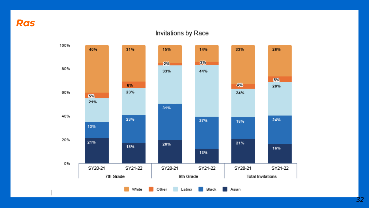*Ras*

#### Invitations by Race

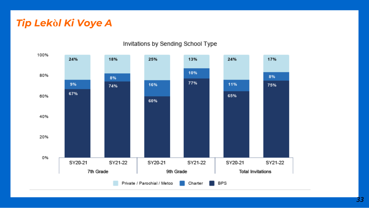## Tip Lekòl Ki Voye A



#### Invitations by Sending School Type